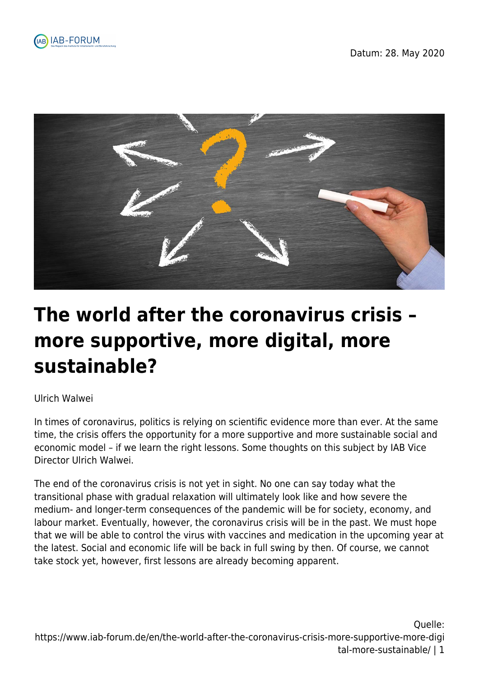



# **The world after the coronavirus crisis – more supportive, more digital, more sustainable?**

#### Ulrich Walwei

In times of coronavirus, politics is relying on scientific evidence more than ever. At the same time, the crisis offers the opportunity for a more supportive and more sustainable social and economic model – if we learn the right lessons. Some thoughts on this subject by IAB Vice Director Ulrich Walwei.

The end of the coronavirus crisis is not yet in sight. No one can say today what the transitional phase with gradual relaxation will ultimately look like and how severe the medium- and longer-term consequences of the pandemic will be for society, economy, and labour market. Eventually, however, the coronavirus crisis will be in the past. We must hope that we will be able to control the virus with vaccines and medication in the upcoming year at the latest. Social and economic life will be back in full swing by then. Of course, we cannot take stock yet, however, first lessons are already becoming apparent.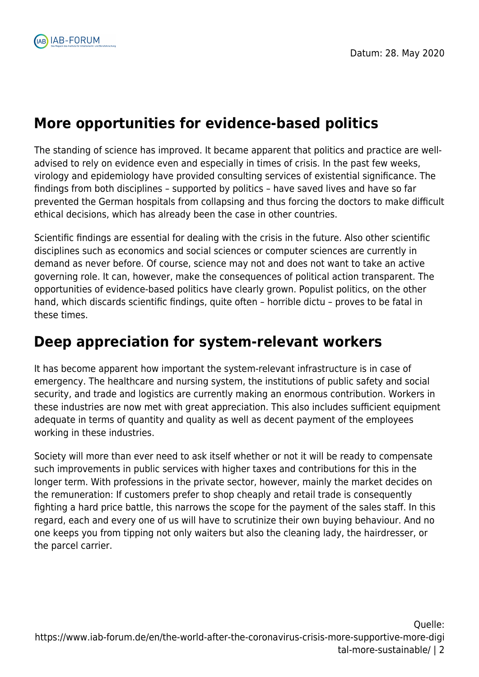

# **More opportunities for evidence-based politics**

The standing of science has improved. It became apparent that politics and practice are welladvised to rely on evidence even and especially in times of crisis. In the past few weeks, virology and epidemiology have provided consulting services of existential significance. The findings from both disciplines – supported by politics – have saved lives and have so far prevented the German hospitals from collapsing and thus forcing the doctors to make difficult ethical decisions, which has already been the case in other countries.

Scientific findings are essential for dealing with the crisis in the future. Also other scientific disciplines such as economics and social sciences or computer sciences are currently in demand as never before. Of course, science may not and does not want to take an active governing role. It can, however, make the consequences of political action transparent. The opportunities of evidence-based politics have clearly grown. Populist politics, on the other hand, which discards scientific findings, quite often – horrible dictu – proves to be fatal in these times.

#### **Deep appreciation for system-relevant workers**

It has become apparent how important the system-relevant infrastructure is in case of emergency. The healthcare and nursing system, the institutions of public safety and social security, and trade and logistics are currently making an enormous contribution. Workers in these industries are now met with great appreciation. This also includes sufficient equipment adequate in terms of quantity and quality as well as decent payment of the employees working in these industries.

Society will more than ever need to ask itself whether or not it will be ready to compensate such improvements in public services with higher taxes and contributions for this in the longer term. With professions in the private sector, however, mainly the market decides on the remuneration: If customers prefer to shop cheaply and retail trade is consequently fighting a hard price battle, this narrows the scope for the payment of the sales staff. In this regard, each and every one of us will have to scrutinize their own buying behaviour. And no one keeps you from tipping not only waiters but also the cleaning lady, the hairdresser, or the parcel carrier.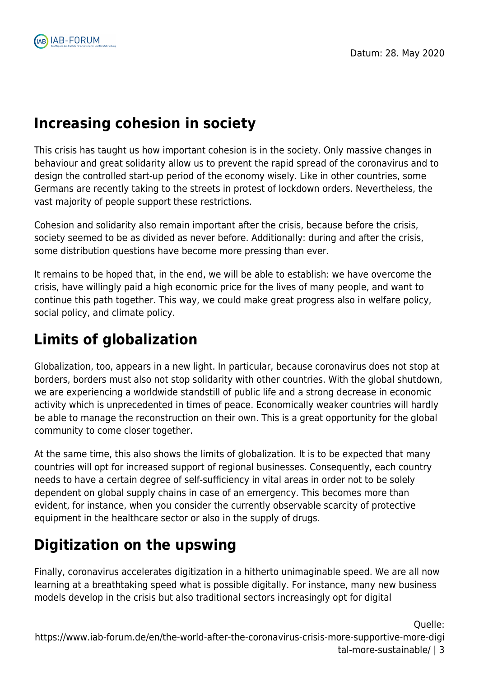

# **Increasing cohesion in society**

This crisis has taught us how important cohesion is in the society. Only massive changes in behaviour and great solidarity allow us to prevent the rapid spread of the coronavirus and to design the controlled start-up period of the economy wisely. Like in other countries, some Germans are recently taking to the streets in protest of lockdown orders. Nevertheless, the vast majority of people support these restrictions.

Cohesion and solidarity also remain important after the crisis, because before the crisis, society seemed to be as divided as never before. Additionally: during and after the crisis, some distribution questions have become more pressing than ever.

It remains to be hoped that, in the end, we will be able to establish: we have overcome the crisis, have willingly paid a high economic price for the lives of many people, and want to continue this path together. This way, we could make great progress also in welfare policy, social policy, and climate policy.

# **Limits of globalization**

Globalization, too, appears in a new light. In particular, because coronavirus does not stop at borders, borders must also not stop solidarity with other countries. With the global shutdown, we are experiencing a worldwide standstill of public life and a strong decrease in economic activity which is unprecedented in times of peace. Economically weaker countries will hardly be able to manage the reconstruction on their own. This is a great opportunity for the global community to come closer together.

At the same time, this also shows the limits of globalization. It is to be expected that many countries will opt for increased support of regional businesses. Consequently, each country needs to have a certain degree of self-sufficiency in vital areas in order not to be solely dependent on global supply chains in case of an emergency. This becomes more than evident, for instance, when you consider the currently observable scarcity of protective equipment in the healthcare sector or also in the supply of drugs.

# **Digitization on the upswing**

Finally, coronavirus accelerates digitization in a hitherto unimaginable speed. We are all now learning at a breathtaking speed what is possible digitally. For instance, many new business models develop in the crisis but also traditional sectors increasingly opt for digital